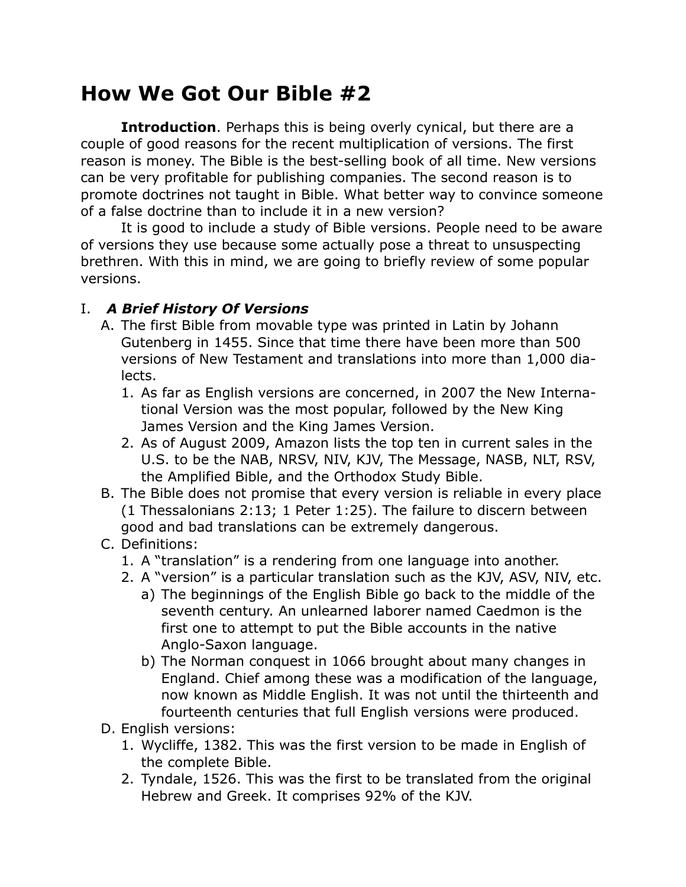## **How We Got Our Bible #2**

**Introduction**. Perhaps this is being overly cynical, but there are a couple of good reasons for the recent multiplication of versions. The first reason is money. The Bible is the best-selling book of all time. New versions can be very profitable for publishing companies. The second reason is to promote doctrines not taught in Bible. What better way to convince someone of a false doctrine than to include it in a new version?

It is good to include a study of Bible versions. People need to be aware of versions they use because some actually pose a threat to unsuspecting brethren. With this in mind, we are going to briefly review of some popular versions.

## I. *A Brief History Of Versions*

- A. The first Bible from movable type was printed in Latin by Johann Gutenberg in 1455. Since that time there have been more than 500 versions of New Testament and translations into more than 1,000 dialects.
	- 1. As far as English versions are concerned, in 2007 the New International Version was the most popular, followed by the New King James Version and the King James Version.
	- 2. As of August 2009, Amazon lists the top ten in current sales in the U.S. to be the NAB, NRSV, NIV, KJV, The Message, NASB, NLT, RSV, the Amplified Bible, and the Orthodox Study Bible.
- B. The Bible does not promise that every version is reliable in every place (1 Thessalonians 2:13; 1 Peter 1:25). The failure to discern between good and bad translations can be extremely dangerous.
- C. Definitions:
	- 1. A "translation" is a rendering from one language into another.
	- 2. A "version" is a particular translation such as the KJV, ASV, NIV, etc.
		- a) The beginnings of the English Bible go back to the middle of the seventh century. An unlearned laborer named Caedmon is the first one to attempt to put the Bible accounts in the native Anglo-Saxon language.
		- b) The Norman conquest in 1066 brought about many changes in England. Chief among these was a modification of the language, now known as Middle English. It was not until the thirteenth and fourteenth centuries that full English versions were produced.
- D. English versions:
	- 1. Wycliffe, 1382. This was the first version to be made in English of the complete Bible.
	- 2. Tyndale, 1526. This was the first to be translated from the original Hebrew and Greek. It comprises 92% of the KJV.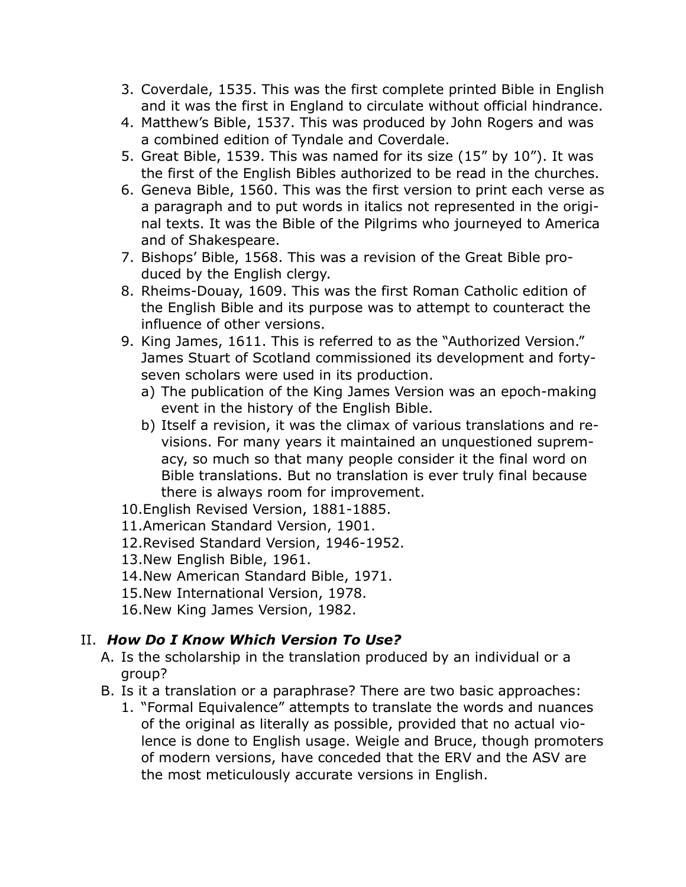- 3. Coverdale, 1535. This was the first complete printed Bible in English and it was the first in England to circulate without official hindrance.
- 4. Matthew's Bible, 1537. This was produced by John Rogers and was a combined edition of Tyndale and Coverdale.
- 5. Great Bible, 1539. This was named for its size (15" by 10"). It was the first of the English Bibles authorized to be read in the churches.
- 6. Geneva Bible, 1560. This was the first version to print each verse as a paragraph and to put words in italics not represented in the original texts. It was the Bible of the Pilgrims who journeyed to America and of Shakespeare.
- 7. Bishops' Bible, 1568. This was a revision of the Great Bible produced by the English clergy.
- 8. Rheims-Douay, 1609. This was the first Roman Catholic edition of the English Bible and its purpose was to attempt to counteract the influence of other versions.
- 9. King James, 1611. This is referred to as the "Authorized Version." James Stuart of Scotland commissioned its development and fortyseven scholars were used in its production.
	- a) The publication of the King James Version was an epoch-making event in the history of the English Bible.
	- b) Itself a revision, it was the climax of various translations and revisions. For many years it maintained an unquestioned supremacy, so much so that many people consider it the final word on Bible translations. But no translation is ever truly final because there is always room for improvement.
- 10.English Revised Version, 1881-1885.
- 11.American Standard Version, 1901.
- 12.Revised Standard Version, 1946-1952.
- 13.New English Bible, 1961.
- 14.New American Standard Bible, 1971.
- 15.New International Version, 1978.
- 16.New King James Version, 1982.

## II. *How Do I Know Which Version To Use?*

- A. Is the scholarship in the translation produced by an individual or a group?
- B. Is it a translation or a paraphrase? There are two basic approaches:
	- 1. "Formal Equivalence" attempts to translate the words and nuances of the original as literally as possible, provided that no actual violence is done to English usage. Weigle and Bruce, though promoters of modern versions, have conceded that the ERV and the ASV are the most meticulously accurate versions in English.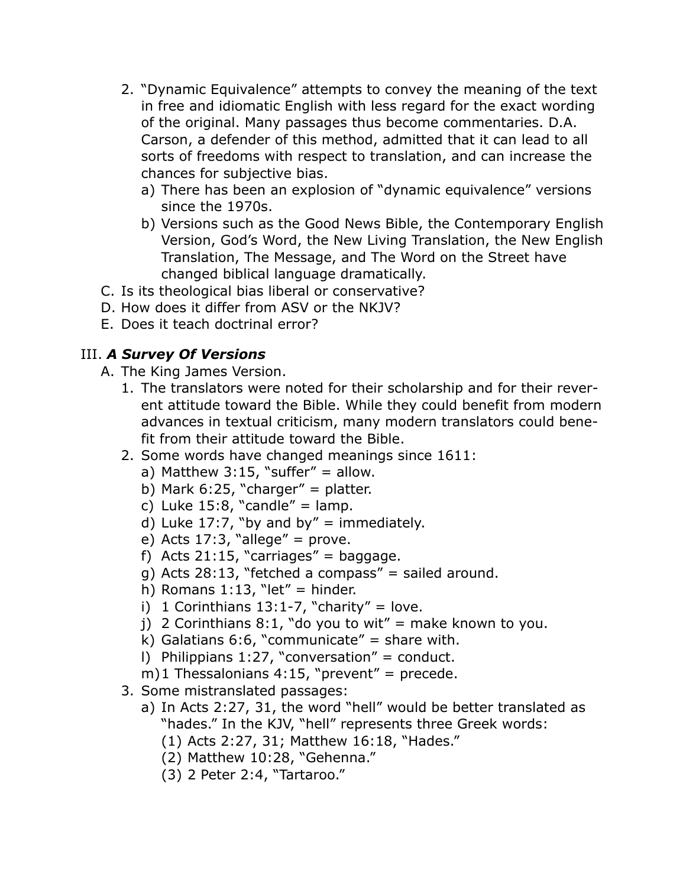- 2. "Dynamic Equivalence" attempts to convey the meaning of the text in free and idiomatic English with less regard for the exact wording of the original. Many passages thus become commentaries. D.A. Carson, a defender of this method, admitted that it can lead to all sorts of freedoms with respect to translation, and can increase the chances for subjective bias.
	- a) There has been an explosion of "dynamic equivalence" versions since the 1970s.
	- b) Versions such as the Good News Bible, the Contemporary English Version, God's Word, the New Living Translation, the New English Translation, The Message, and The Word on the Street have changed biblical language dramatically.
- C. Is its theological bias liberal or conservative?
- D. How does it differ from ASV or the NKJV?
- E. Does it teach doctrinal error?

## III. *A Survey Of Versions*

- A. The King James Version.
	- 1. The translators were noted for their scholarship and for their reverent attitude toward the Bible. While they could benefit from modern advances in textual criticism, many modern translators could benefit from their attitude toward the Bible.
	- 2. Some words have changed meanings since 1611:
		- a) Matthew  $3:15$ , "suffer" = allow.
		- b) Mark 6:25, "charger" = platter.
		- c) Luke  $15:8$ , "candle" = lamp.
		- d) Luke 17:7, "by and by" = immediately.
		- e) Acts  $17:3$ , "allege" = prove.
		- f) Acts 21:15, "carriages" = baggage.
		- g) Acts 28:13, "fetched a compass" = sailed around.
		- h) Romans  $1:13$ , "let" = hinder.
		- i) 1 Corinthians  $13:1-7$ , "charity" = love.
		- j) 2 Corinthians 8:1, "do you to wit" = make known to you.
		- k) Galatians 6:6, "communicate" = share with.
		- l) Philippians 1:27, "conversation" = conduct.
		- m)1 Thessalonians  $4:15$ , "prevent" = precede.
	- 3. Some mistranslated passages:
		- a) In Acts 2:27, 31, the word "hell" would be better translated as "hades." In the KJV, "hell" represents three Greek words:
			- (1) Acts 2:27, 31; Matthew 16:18, "Hades."
			- (2) Matthew 10:28, "Gehenna."
			- (3) 2 Peter 2:4, "Tartaroo."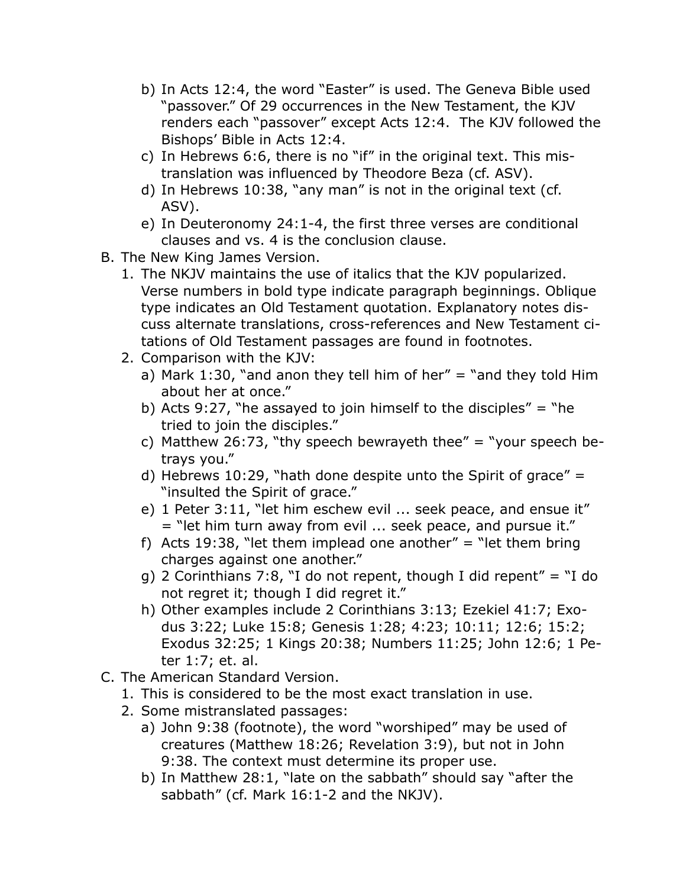- b) In Acts 12:4, the word "Easter" is used. The Geneva Bible used "passover." Of 29 occurrences in the New Testament, the KJV renders each "passover" except Acts 12:4. The KJV followed the Bishops' Bible in Acts 12:4.
- c) In Hebrews 6:6, there is no "if" in the original text. This mistranslation was influenced by Theodore Beza (cf. ASV).
- d) In Hebrews 10:38, "any man" is not in the original text (cf. ASV).
- e) In Deuteronomy 24:1-4, the first three verses are conditional clauses and vs. 4 is the conclusion clause.
- B. The New King James Version.
	- 1. The NKJV maintains the use of italics that the KJV popularized. Verse numbers in bold type indicate paragraph beginnings. Oblique type indicates an Old Testament quotation. Explanatory notes discuss alternate translations, cross-references and New Testament citations of Old Testament passages are found in footnotes.
	- 2. Comparison with the KJV:
		- a) Mark 1:30, "and anon they tell him of her" = "and they told Him about her at once."
		- b) Acts 9:27, "he assayed to join himself to the disciples" = "he tried to join the disciples."
		- c) Matthew 26:73, "thy speech bewrayeth thee" = "your speech betrays you."
		- d) Hebrews 10:29, "hath done despite unto the Spirit of grace"  $=$ "insulted the Spirit of grace."
		- e) 1 Peter 3:11, "let him eschew evil ... seek peace, and ensue it" = "let him turn away from evil ... seek peace, and pursue it."
		- f) Acts 19:38, "let them implead one another" = "let them bring charges against one another."
		- g) 2 Corinthians 7:8, "I do not repent, though I did repent" = "I do not regret it; though I did regret it."
		- h) Other examples include 2 Corinthians 3:13; Ezekiel 41:7; Exodus 3:22; Luke 15:8; Genesis 1:28; 4:23; 10:11; 12:6; 15:2; Exodus 32:25; 1 Kings 20:38; Numbers 11:25; John 12:6; 1 Peter 1:7; et. al.
- C. The American Standard Version.
	- 1. This is considered to be the most exact translation in use.
	- 2. Some mistranslated passages:
		- a) John 9:38 (footnote), the word "worshiped" may be used of creatures (Matthew 18:26; Revelation 3:9), but not in John 9:38. The context must determine its proper use.
		- b) In Matthew 28:1, "late on the sabbath" should say "after the sabbath" (cf. Mark 16:1-2 and the NKJV).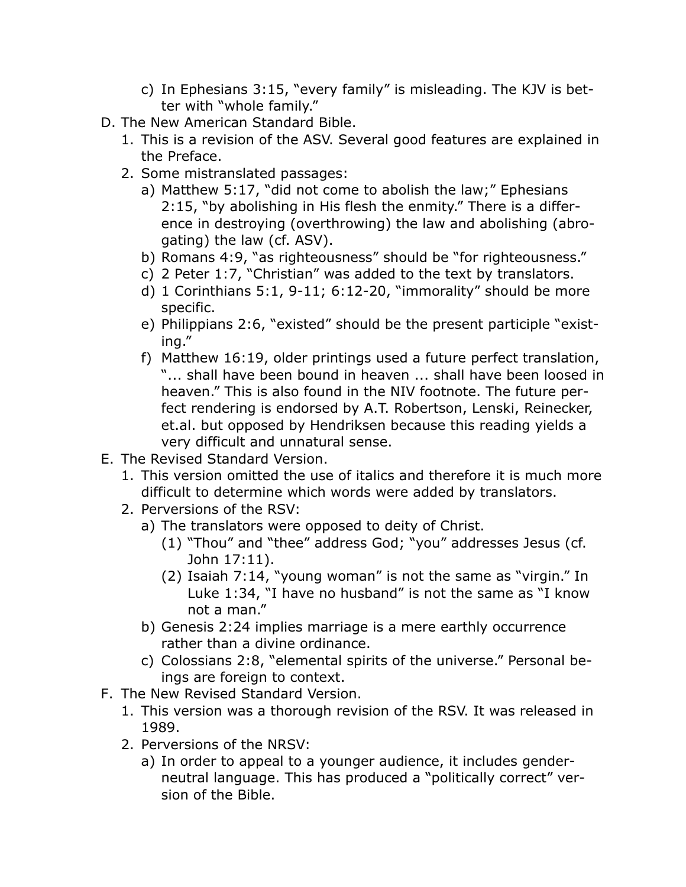- c) In Ephesians 3:15, "every family" is misleading. The KJV is better with "whole family."
- D. The New American Standard Bible.
	- 1. This is a revision of the ASV. Several good features are explained in the Preface.
	- 2. Some mistranslated passages:
		- a) Matthew 5:17, "did not come to abolish the law;" Ephesians 2:15, "by abolishing in His flesh the enmity." There is a difference in destroying (overthrowing) the law and abolishing (abrogating) the law (cf. ASV).
		- b) Romans 4:9, "as righteousness" should be "for righteousness."
		- c) 2 Peter 1:7, "Christian" was added to the text by translators.
		- d) 1 Corinthians 5:1, 9-11; 6:12-20, "immorality" should be more specific.
		- e) Philippians 2:6, "existed" should be the present participle "existing."
		- f) Matthew 16:19, older printings used a future perfect translation, "... shall have been bound in heaven ... shall have been loosed in heaven." This is also found in the NIV footnote. The future perfect rendering is endorsed by A.T. Robertson, Lenski, Reinecker, et.al. but opposed by Hendriksen because this reading yields a very difficult and unnatural sense.
- E. The Revised Standard Version.
	- 1. This version omitted the use of italics and therefore it is much more difficult to determine which words were added by translators.
	- 2. Perversions of the RSV:
		- a) The translators were opposed to deity of Christ.
			- (1) "Thou" and "thee" address God; "you" addresses Jesus (cf. John 17:11).
			- (2) Isaiah 7:14, "young woman" is not the same as "virgin." In Luke 1:34, "I have no husband" is not the same as "I know not a man."
		- b) Genesis 2:24 implies marriage is a mere earthly occurrence rather than a divine ordinance.
		- c) Colossians 2:8, "elemental spirits of the universe." Personal beings are foreign to context.
- F. The New Revised Standard Version.
	- 1. This version was a thorough revision of the RSV. It was released in 1989.
	- 2. Perversions of the NRSV:
		- a) In order to appeal to a younger audience, it includes genderneutral language. This has produced a "politically correct" version of the Bible.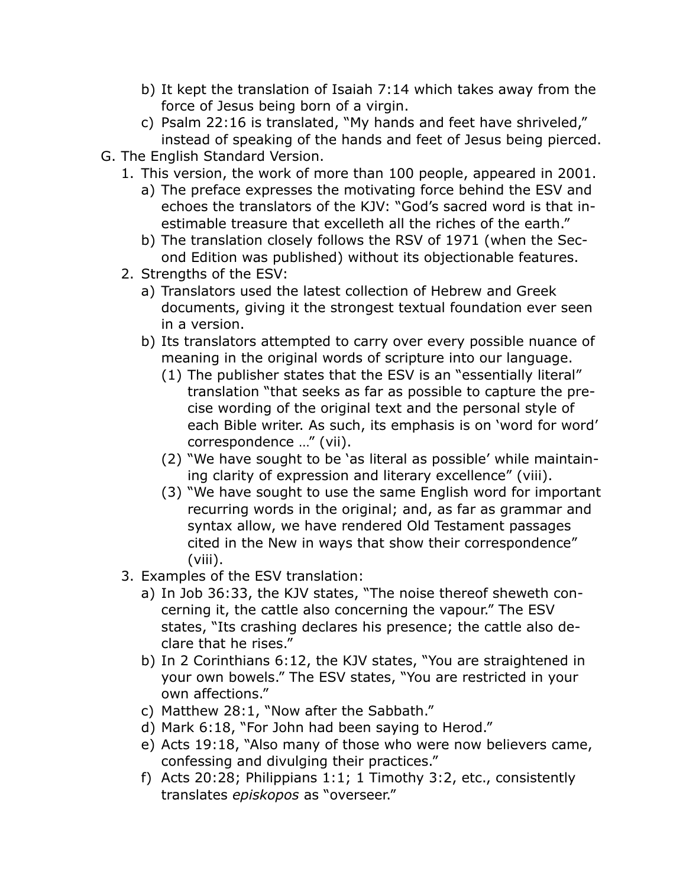- b) It kept the translation of Isaiah 7:14 which takes away from the force of Jesus being born of a virgin.
- c) Psalm 22:16 is translated, "My hands and feet have shriveled," instead of speaking of the hands and feet of Jesus being pierced.
- G. The English Standard Version.
	- 1. This version, the work of more than 100 people, appeared in 2001.
		- a) The preface expresses the motivating force behind the ESV and echoes the translators of the KJV: "God's sacred word is that inestimable treasure that excelleth all the riches of the earth."
		- b) The translation closely follows the RSV of 1971 (when the Second Edition was published) without its objectionable features.
	- 2. Strengths of the ESV:
		- a) Translators used the latest collection of Hebrew and Greek documents, giving it the strongest textual foundation ever seen in a version.
		- b) Its translators attempted to carry over every possible nuance of meaning in the original words of scripture into our language.
			- (1) The publisher states that the ESV is an "essentially literal" translation "that seeks as far as possible to capture the precise wording of the original text and the personal style of each Bible writer. As such, its emphasis is on 'word for word' correspondence …" (vii).
			- (2) "We have sought to be 'as literal as possible' while maintaining clarity of expression and literary excellence" (viii).
			- (3) "We have sought to use the same English word for important recurring words in the original; and, as far as grammar and syntax allow, we have rendered Old Testament passages cited in the New in ways that show their correspondence" (viii).
	- 3. Examples of the ESV translation:
		- a) In Job 36:33, the KJV states, "The noise thereof sheweth concerning it, the cattle also concerning the vapour." The ESV states, "Its crashing declares his presence; the cattle also declare that he rises."
		- b) In 2 Corinthians 6:12, the KJV states, "You are straightened in your own bowels." The ESV states, "You are restricted in your own affections."
		- c) Matthew 28:1, "Now after the Sabbath."
		- d) Mark 6:18, "For John had been saying to Herod."
		- e) Acts 19:18, "Also many of those who were now believers came, confessing and divulging their practices."
		- f) Acts 20:28; Philippians 1:1; 1 Timothy 3:2, etc., consistently translates *episkopos* as "overseer."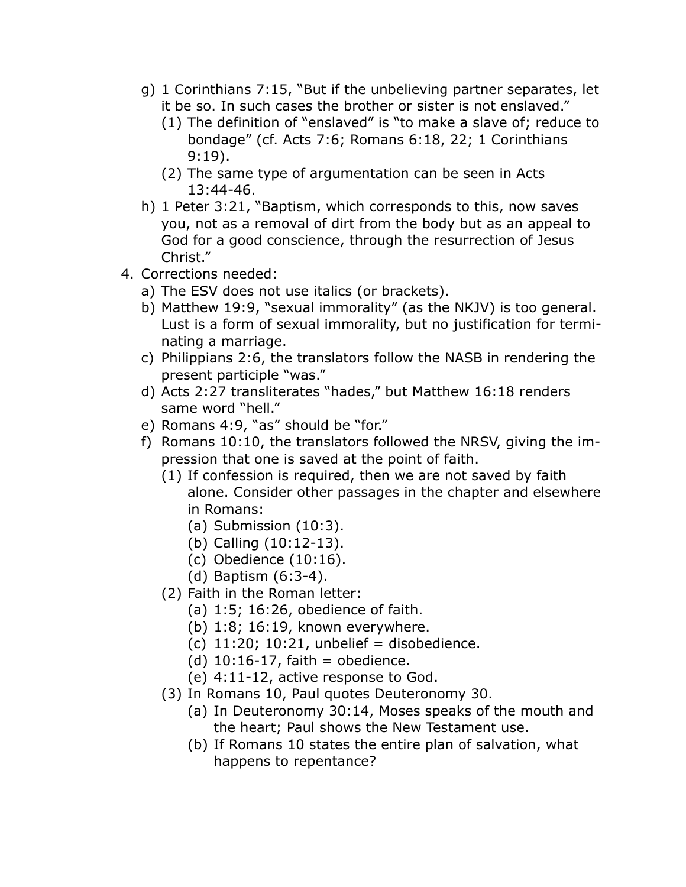- g) 1 Corinthians 7:15, "But if the unbelieving partner separates, let it be so. In such cases the brother or sister is not enslaved."
	- (1) The definition of "enslaved" is "to make a slave of; reduce to bondage" (cf. Acts 7:6; Romans 6:18, 22; 1 Corinthians 9:19).
	- (2) The same type of argumentation can be seen in Acts 13:44-46.
- h) 1 Peter 3:21, "Baptism, which corresponds to this, now saves you, not as a removal of dirt from the body but as an appeal to God for a good conscience, through the resurrection of Jesus Christ."
- 4. Corrections needed:
	- a) The ESV does not use italics (or brackets).
	- b) Matthew 19:9, "sexual immorality" (as the NKJV) is too general. Lust is a form of sexual immorality, but no justification for terminating a marriage.
	- c) Philippians 2:6, the translators follow the NASB in rendering the present participle "was."
	- d) Acts 2:27 transliterates "hades," but Matthew 16:18 renders same word "hell."
	- e) Romans 4:9, "as" should be "for."
	- f) Romans 10:10, the translators followed the NRSV, giving the impression that one is saved at the point of faith.
		- (1) If confession is required, then we are not saved by faith alone. Consider other passages in the chapter and elsewhere in Romans:
			- (a) Submission (10:3).
			- (b) Calling (10:12-13).
			- (c) Obedience (10:16).
			- (d) Baptism (6:3-4).
		- (2) Faith in the Roman letter:
			- (a) 1:5; 16:26, obedience of faith.
			- (b) 1:8; 16:19, known everywhere.
			- (c)  $11:20$ ;  $10:21$ , unbelief = disobedience.
			- (d)  $10:16-17$ , faith = obedience.
			- (e) 4:11-12, active response to God.
		- (3) In Romans 10, Paul quotes Deuteronomy 30.
			- (a) In Deuteronomy 30:14, Moses speaks of the mouth and the heart; Paul shows the New Testament use.
			- (b) If Romans 10 states the entire plan of salvation, what happens to repentance?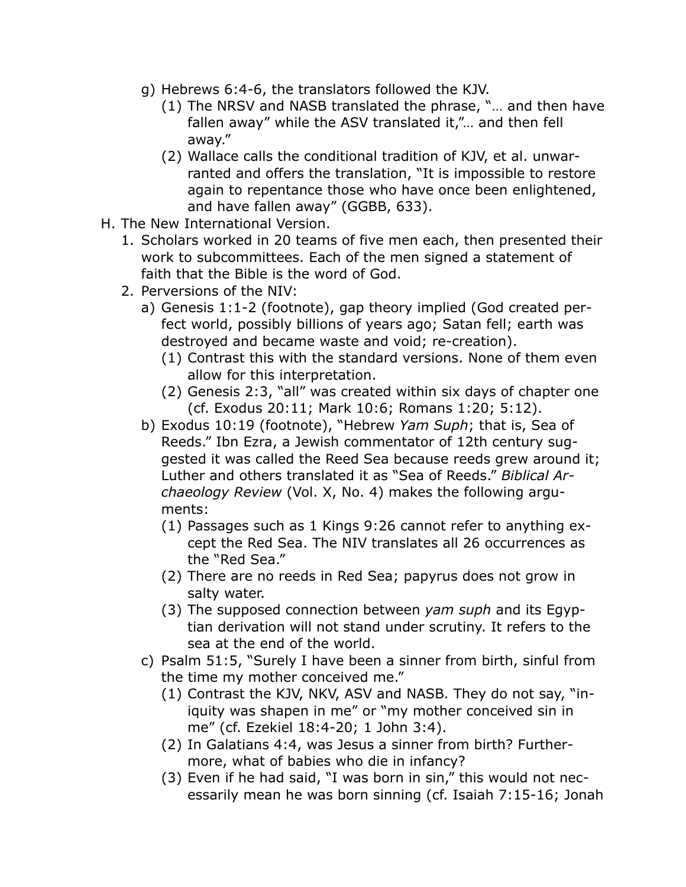- g) Hebrews 6:4-6, the translators followed the KJV.
	- (1) The NRSV and NASB translated the phrase, "… and then have fallen away" while the ASV translated it,"... and then fell away."
	- (2) Wallace calls the conditional tradition of KJV, et al. unwarranted and offers the translation, "It is impossible to restore again to repentance those who have once been enlightened, and have fallen away" (GGBB, 633).
- H. The New International Version.
	- 1. Scholars worked in 20 teams of five men each, then presented their work to subcommittees. Each of the men signed a statement of faith that the Bible is the word of God.
	- 2. Perversions of the NIV:
		- a) Genesis 1:1-2 (footnote), gap theory implied (God created perfect world, possibly billions of years ago; Satan fell; earth was destroyed and became waste and void; re-creation).
			- (1) Contrast this with the standard versions. None of them even allow for this interpretation.
			- (2) Genesis 2:3, "all" was created within six days of chapter one (cf. Exodus 20:11; Mark 10:6; Romans 1:20; 5:12).
		- b) Exodus 10:19 (footnote), "Hebrew *Yam Suph*; that is, Sea of Reeds." Ibn Ezra, a Jewish commentator of 12th century suggested it was called the Reed Sea because reeds grew around it; Luther and others translated it as "Sea of Reeds." *Biblical Archaeology Review* (Vol. X, No. 4) makes the following arguments:
			- (1) Passages such as 1 Kings 9:26 cannot refer to anything except the Red Sea. The NIV translates all 26 occurrences as the "Red Sea."
			- (2) There are no reeds in Red Sea; papyrus does not grow in salty water.
			- (3) The supposed connection between *yam suph* and its Egyptian derivation will not stand under scrutiny. It refers to the sea at the end of the world.
		- c) Psalm 51:5, "Surely I have been a sinner from birth, sinful from the time my mother conceived me."
			- (1) Contrast the KJV, NKV, ASV and NASB. They do not say, "iniquity was shapen in me" or "my mother conceived sin in me" (cf. Ezekiel 18:4-20; 1 John 3:4).
			- (2) In Galatians 4:4, was Jesus a sinner from birth? Furthermore, what of babies who die in infancy?
			- (3) Even if he had said, "I was born in sin," this would not necessarily mean he was born sinning (cf. Isaiah 7:15-16; Jonah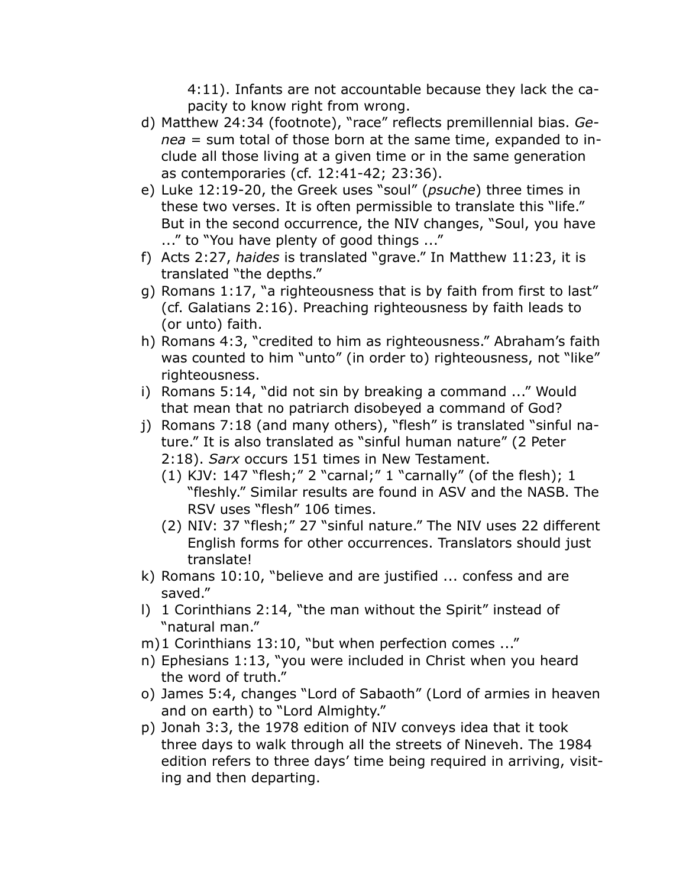4:11). Infants are not accountable because they lack the capacity to know right from wrong.

- d) Matthew 24:34 (footnote), "race" reflects premillennial bias. *Genea* = sum total of those born at the same time, expanded to include all those living at a given time or in the same generation as contemporaries (cf. 12:41-42; 23:36).
- e) Luke 12:19-20, the Greek uses "soul" (*psuche*) three times in these two verses. It is often permissible to translate this "life." But in the second occurrence, the NIV changes, "Soul, you have ..." to "You have plenty of good things ..."
- f) Acts 2:27, *haides* is translated "grave." In Matthew 11:23, it is translated "the depths."
- g) Romans 1:17, "a righteousness that is by faith from first to last" (cf. Galatians 2:16). Preaching righteousness by faith leads to (or unto) faith.
- h) Romans 4:3, "credited to him as righteousness." Abraham's faith was counted to him "unto" (in order to) righteousness, not "like" righteousness.
- i) Romans 5:14, "did not sin by breaking a command ..." Would that mean that no patriarch disobeyed a command of God?
- j) Romans 7:18 (and many others), "flesh" is translated "sinful nature." It is also translated as "sinful human nature" (2 Peter 2:18). *Sarx* occurs 151 times in New Testament.
	- (1) KJV: 147 "flesh;" 2 "carnal;" 1 "carnally" (of the flesh); 1 "fleshly." Similar results are found in ASV and the NASB. The RSV uses "flesh" 106 times.
	- (2) NIV: 37 "flesh;" 27 "sinful nature." The NIV uses 22 different English forms for other occurrences. Translators should just translate!
- k) Romans 10:10, "believe and are justified ... confess and are saved."
- l) 1 Corinthians 2:14, "the man without the Spirit" instead of "natural man."
- m)1 Corinthians 13:10, "but when perfection comes ..."
- n) Ephesians 1:13, "you were included in Christ when you heard the word of truth."
- o) James 5:4, changes "Lord of Sabaoth" (Lord of armies in heaven and on earth) to "Lord Almighty."
- p) Jonah 3:3, the 1978 edition of NIV conveys idea that it took three days to walk through all the streets of Nineveh. The 1984 edition refers to three days' time being required in arriving, visiting and then departing.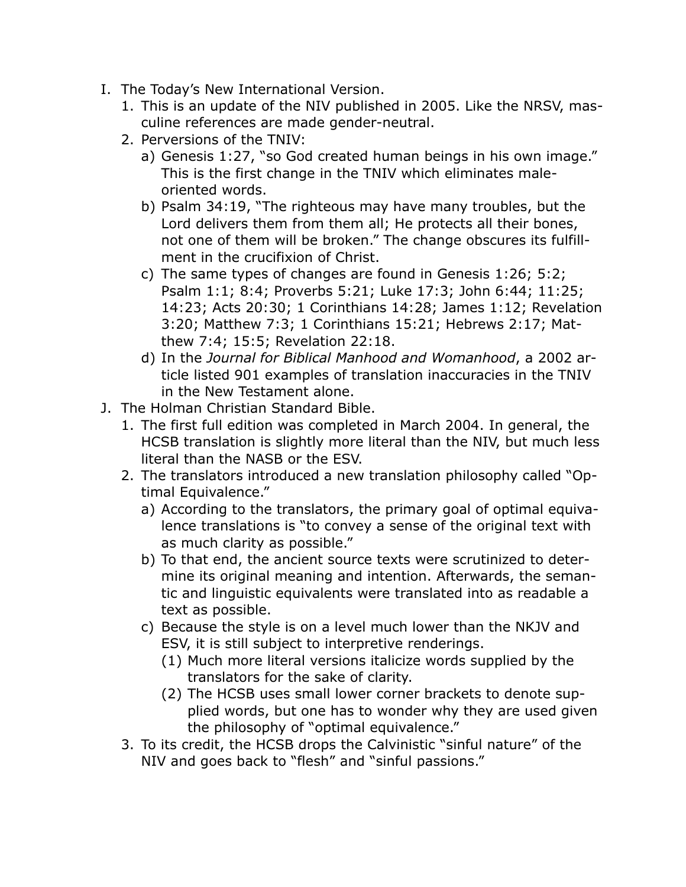- I. The Today's New International Version.
	- 1. This is an update of the NIV published in 2005. Like the NRSV, masculine references are made gender-neutral.
	- 2. Perversions of the TNIV:
		- a) Genesis 1:27, "so God created human beings in his own image." This is the first change in the TNIV which eliminates maleoriented words.
		- b) Psalm 34:19, "The righteous may have many troubles, but the Lord delivers them from them all; He protects all their bones, not one of them will be broken." The change obscures its fulfillment in the crucifixion of Christ.
		- c) The same types of changes are found in Genesis 1:26; 5:2; Psalm 1:1; 8:4; Proverbs 5:21; Luke 17:3; John 6:44; 11:25; 14:23; Acts 20:30; 1 Corinthians 14:28; James 1:12; Revelation 3:20; Matthew 7:3; 1 Corinthians 15:21; Hebrews 2:17; Matthew 7:4; 15:5; Revelation 22:18.
		- d) In the *Journal for Biblical Manhood and Womanhood*, a 2002 article listed 901 examples of translation inaccuracies in the TNIV in the New Testament alone.
- J. The Holman Christian Standard Bible.
	- 1. The first full edition was completed in March 2004. In general, the HCSB translation is slightly more literal than the NIV, but much less literal than the NASB or the ESV.
	- 2. The translators introduced a new translation philosophy called "Optimal Equivalence."
		- a) According to the translators, the primary goal of optimal equivalence translations is "to convey a sense of the original text with as much clarity as possible."
		- b) To that end, the ancient source texts were scrutinized to determine its original meaning and intention. Afterwards, the semantic and linguistic equivalents were translated into as readable a text as possible.
		- c) Because the style is on a level much lower than the NKJV and ESV, it is still subject to interpretive renderings.
			- (1) Much more literal versions italicize words supplied by the translators for the sake of clarity.
			- (2) The HCSB uses small lower corner brackets to denote supplied words, but one has to wonder why they are used given the philosophy of "optimal equivalence."
	- 3. To its credit, the HCSB drops the Calvinistic "sinful nature" of the NIV and goes back to "flesh" and "sinful passions."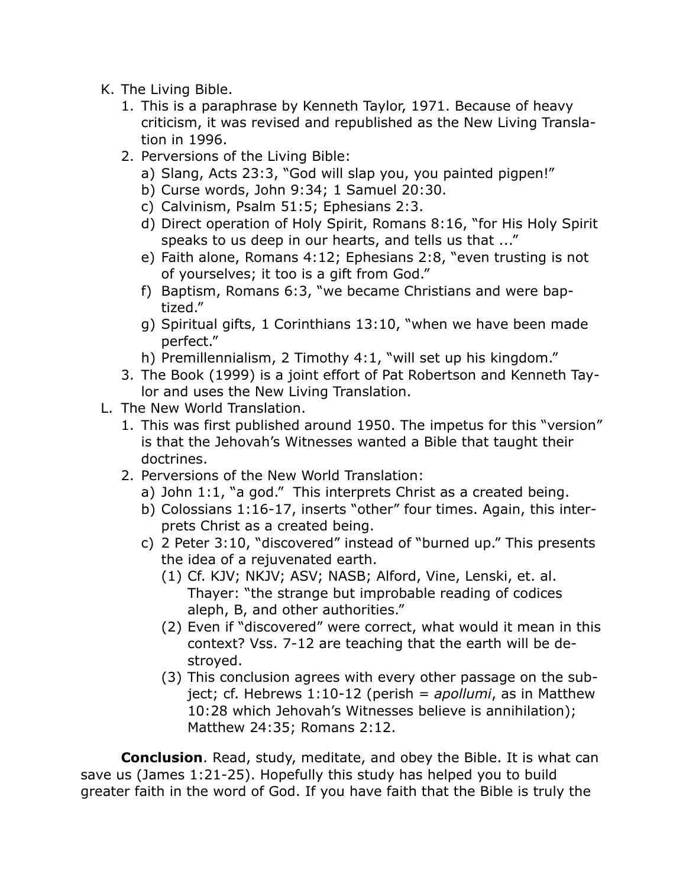- K. The Living Bible.
	- 1. This is a paraphrase by Kenneth Taylor, 1971. Because of heavy criticism, it was revised and republished as the New Living Translation in 1996.
	- 2. Perversions of the Living Bible:
		- a) Slang, Acts 23:3, "God will slap you, you painted pigpen!"
		- b) Curse words, John 9:34; 1 Samuel 20:30.
		- c) Calvinism, Psalm 51:5; Ephesians 2:3.
		- d) Direct operation of Holy Spirit, Romans 8:16, "for His Holy Spirit speaks to us deep in our hearts, and tells us that ..."
		- e) Faith alone, Romans 4:12; Ephesians 2:8, "even trusting is not of yourselves; it too is a gift from God."
		- f) Baptism, Romans 6:3, "we became Christians and were baptized."
		- g) Spiritual gifts, 1 Corinthians 13:10, "when we have been made perfect."
		- h) Premillennialism, 2 Timothy 4:1, "will set up his kingdom."
	- 3. The Book (1999) is a joint effort of Pat Robertson and Kenneth Taylor and uses the New Living Translation.
- L. The New World Translation.
	- 1. This was first published around 1950. The impetus for this "version" is that the Jehovah's Witnesses wanted a Bible that taught their doctrines.
	- 2. Perversions of the New World Translation:
		- a) John 1:1, "a god." This interprets Christ as a created being.
		- b) Colossians 1:16-17, inserts "other" four times. Again, this interprets Christ as a created being.
		- c) 2 Peter 3:10, "discovered" instead of "burned up." This presents the idea of a rejuvenated earth.
			- (1) Cf. KJV; NKJV; ASV; NASB; Alford, Vine, Lenski, et. al. Thayer: "the strange but improbable reading of codices aleph, B, and other authorities."
			- (2) Even if "discovered" were correct, what would it mean in this context? Vss. 7-12 are teaching that the earth will be destroyed.
			- (3) This conclusion agrees with every other passage on the subject; cf. Hebrews 1:10-12 (perish = *apollumi*, as in Matthew 10:28 which Jehovah's Witnesses believe is annihilation); Matthew 24:35; Romans 2:12.

**Conclusion**. Read, study, meditate, and obey the Bible. It is what can save us (James 1:21-25). Hopefully this study has helped you to build greater faith in the word of God. If you have faith that the Bible is truly the